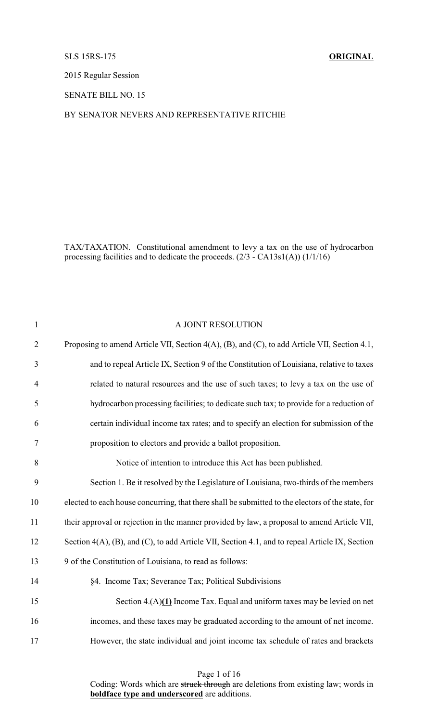# SLS 15RS-175 **ORIGINAL**

2015 Regular Session

SENATE BILL NO. 15

## BY SENATOR NEVERS AND REPRESENTATIVE RITCHIE

TAX/TAXATION. Constitutional amendment to levy a tax on the use of hydrocarbon processing facilities and to dedicate the proceeds. (2/3 - CA13s1(A)) (1/1/16)

| $\mathbf{1}$   | A JOINT RESOLUTION                                                                                |
|----------------|---------------------------------------------------------------------------------------------------|
| $\overline{2}$ | Proposing to amend Article VII, Section 4(A), (B), and (C), to add Article VII, Section 4.1,      |
| 3              | and to repeal Article IX, Section 9 of the Constitution of Louisiana, relative to taxes           |
| $\overline{4}$ | related to natural resources and the use of such taxes; to levy a tax on the use of               |
| 5              | hydrocarbon processing facilities; to dedicate such tax; to provide for a reduction of            |
| 6              | certain individual income tax rates; and to specify an election for submission of the             |
| $\tau$         | proposition to electors and provide a ballot proposition.                                         |
| 8              | Notice of intention to introduce this Act has been published.                                     |
| 9              | Section 1. Be it resolved by the Legislature of Louisiana, two-thirds of the members              |
| 10             | elected to each house concurring, that there shall be submitted to the electors of the state, for |
| 11             | their approval or rejection in the manner provided by law, a proposal to amend Article VII,       |
| 12             | Section 4(A), (B), and (C), to add Article VII, Section 4.1, and to repeal Article IX, Section    |
| 13             | 9 of the Constitution of Louisiana, to read as follows:                                           |
| 14             | §4. Income Tax; Severance Tax; Political Subdivisions                                             |
| 15             | Section $4.(A)(1)$ Income Tax. Equal and uniform taxes may be levied on net                       |
| 16             | incomes, and these taxes may be graduated according to the amount of net income.                  |
| 17             | However, the state individual and joint income tax schedule of rates and brackets                 |
|                |                                                                                                   |

Page 1 of 16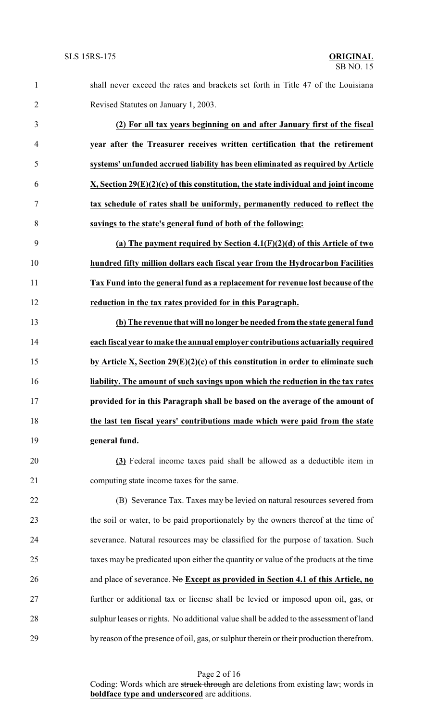shall never exceed the rates and brackets set forth in Title 47 of the Louisiana Revised Statutes on January 1, 2003.

 **(2) For all tax years beginning on and after January first of the fiscal year after the Treasurer receives written certification that the retirement systems' unfunded accrued liability has been eliminated as required by Article X, Section 29(E)(2)(c) of this constitution, the state individual and joint income tax schedule of rates shall be uniformly, permanently reduced to reflect the savings to the state's general fund of both of the following:**

 **(a) The payment required by Section 4.1(F)(2)(d) of this Article of two hundred fifty million dollars each fiscal year from the Hydrocarbon Facilities Tax Fund into the general fund as a replacement for revenue lost because of the reduction in the tax rates provided for in this Paragraph.**

 **(b) The revenue that will no longer be needed fromthe state general fund each fiscal year to make the annual employer contributions actuarially required by Article X, Section 29(E)(2)(c) of this constitution in order to eliminate such liability. The amount of such savings upon which the reduction in the tax rates provided for in this Paragraph shall be based on the average of the amount of the last ten fiscal years' contributions made which were paid from the state general fund.**

 **(3)** Federal income taxes paid shall be allowed as a deductible item in computing state income taxes for the same.

 (B) Severance Tax. Taxes may be levied on natural resources severed from the soil or water, to be paid proportionately by the owners thereof at the time of severance. Natural resources may be classified for the purpose of taxation. Such taxes may be predicated upon either the quantity or value of the products at the time and place of severance. No **Except as provided in Section 4.1 of this Article, no** further or additional tax or license shall be levied or imposed upon oil, gas, or sulphur leases or rights. No additional value shall be added to the assessment of land by reason of the presence of oil, gas, or sulphur therein or their production therefrom.

Page 2 of 16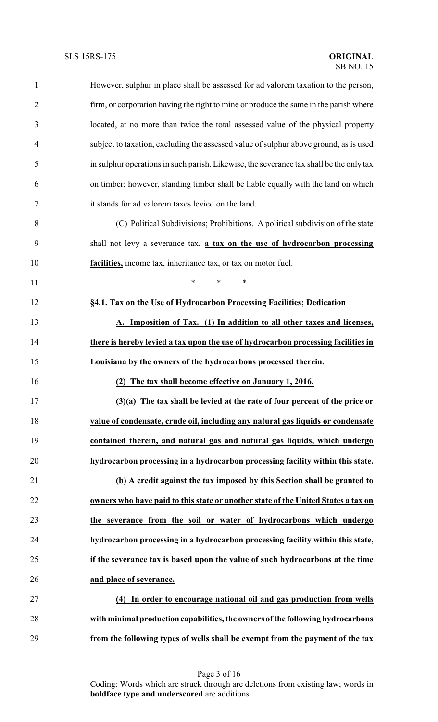| $\mathbf{1}$   | However, sulphur in place shall be assessed for ad valorem taxation to the person,      |
|----------------|-----------------------------------------------------------------------------------------|
| $\overline{2}$ | firm, or corporation having the right to mine or produce the same in the parish where   |
| 3              | located, at no more than twice the total assessed value of the physical property        |
| 4              | subject to taxation, excluding the assessed value of sulphur above ground, as is used   |
| 5              | in sulphur operations in such parish. Likewise, the severance tax shall be the only tax |
| 6              | on timber; however, standing timber shall be liable equally with the land on which      |
| 7              | it stands for ad valorem taxes levied on the land.                                      |
| 8              | (C) Political Subdivisions; Prohibitions. A political subdivision of the state          |
| 9              | shall not levy a severance tax, a tax on the use of hydrocarbon processing              |
| 10             | facilities, income tax, inheritance tax, or tax on motor fuel.                          |
| 11             | $\ast$<br>$\ast$<br>$\ast$                                                              |
| 12             | §4.1. Tax on the Use of Hydrocarbon Processing Facilities; Dedication                   |
| 13             | A. Imposition of Tax. (1) In addition to all other taxes and licenses,                  |
| 14             | there is hereby levied a tax upon the use of hydrocarbon processing facilities in       |
| 15             | Louisiana by the owners of the hydrocarbons processed therein.                          |
| 16             | (2) The tax shall become effective on January 1, 2016.                                  |
| 17             | $(3)(a)$ The tax shall be levied at the rate of four percent of the price or            |
| 18             | value of condensate, crude oil, including any natural gas liquids or condensate         |
| 19             | contained therein, and natural gas and natural gas liquids, which undergo               |
| 20             | hydrocarbon processing in a hydrocarbon processing facility within this state.          |
| 21             | (b) A credit against the tax imposed by this Section shall be granted to                |
| 22             | owners who have paid to this state or another state of the United States a tax on       |
| 23             | the severance from the soil or water of hydrocarbons which undergo                      |
| 24             | hydrocarbon processing in a hydrocarbon processing facility within this state,          |
| 25             | if the severance tax is based upon the value of such hydrocarbons at the time           |
| 26             | and place of severance.                                                                 |
| 27             | (4) In order to encourage national oil and gas production from wells                    |
| 28             | with minimal production capabilities, the owners of the following hydrocarbons          |
| 29             | from the following types of wells shall be exempt from the payment of the tax           |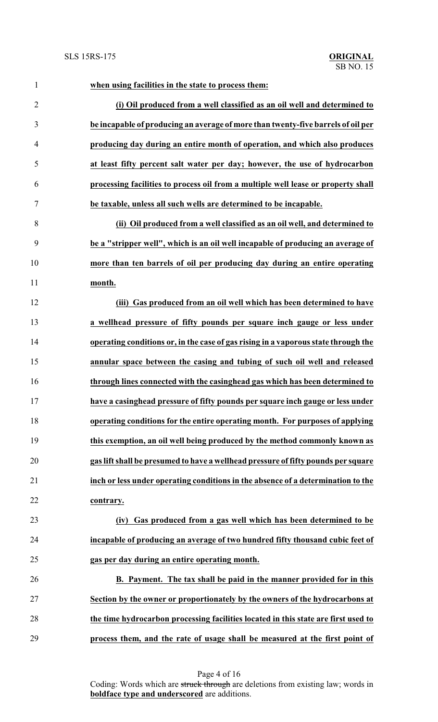| $\mathbf{1}$   | when using facilities in the state to process them:                                |
|----------------|------------------------------------------------------------------------------------|
| $\overline{2}$ | (i) Oil produced from a well classified as an oil well and determined to           |
| 3              | be incapable of producing an average of more than twenty-five barrels of oil per   |
| $\overline{4}$ | producing day during an entire month of operation, and which also produces         |
| 5              | at least fifty percent salt water per day; however, the use of hydrocarbon         |
| 6              | processing facilities to process oil from a multiple well lease or property shall  |
| 7              | be taxable, unless all such wells are determined to be incapable.                  |
| 8              | (ii) Oil produced from a well classified as an oil well, and determined to         |
| 9              | be a "stripper well", which is an oil well incapable of producing an average of    |
| 10             | more than ten barrels of oil per producing day during an entire operating          |
| 11             | month.                                                                             |
| 12             | (iii) Gas produced from an oil well which has been determined to have              |
| 13             | a wellhead pressure of fifty pounds per square inch gauge or less under            |
| 14             | operating conditions or, in the case of gas rising in a vaporous state through the |
| 15             | annular space between the casing and tubing of such oil well and released          |
| 16             | through lines connected with the casinghead gas which has been determined to       |
| 17             | have a casinghead pressure of fifty pounds per square inch gauge or less under     |
| 18             | operating conditions for the entire operating month. For purposes of applying      |
| 19             | this exemption, an oil well being produced by the method commonly known as         |
| 20             | gas lift shall be presumed to have a wellhead pressure of fifty pounds per square  |
| 21             | inch or less under operating conditions in the absence of a determination to the   |
| 22             | contrary.                                                                          |
| 23             | Gas produced from a gas well which has been determined to be<br>(iv)               |
| 24             | incapable of producing an average of two hundred fifty thousand cubic feet of      |
| 25             | gas per day during an entire operating month.                                      |
| 26             | B. Payment. The tax shall be paid in the manner provided for in this               |
| 27             | Section by the owner or proportionately by the owners of the hydrocarbons at       |
| 28             | the time hydrocarbon processing facilities located in this state are first used to |
| 29             | process them, and the rate of usage shall be measured at the first point of        |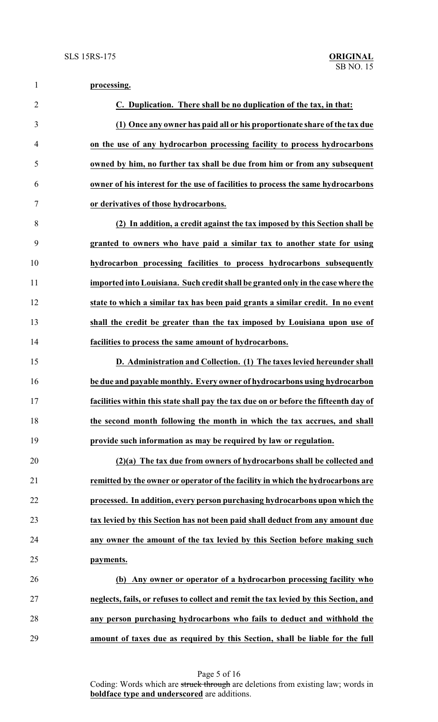| $\mathbf{1}$   | processing.                                                                          |
|----------------|--------------------------------------------------------------------------------------|
| $\overline{2}$ | C. Duplication. There shall be no duplication of the tax, in that:                   |
| 3              | (1) Once any owner has paid all or his proportionate share of the tax due            |
| $\overline{4}$ | on the use of any hydrocarbon processing facility to process hydrocarbons            |
| 5              | owned by him, no further tax shall be due from him or from any subsequent            |
| 6              | owner of his interest for the use of facilities to process the same hydrocarbons     |
| $\overline{7}$ | or derivatives of those hydrocarbons.                                                |
| 8              | (2) In addition, a credit against the tax imposed by this Section shall be           |
| 9              | granted to owners who have paid a similar tax to another state for using             |
| 10             | hydrocarbon processing facilities to process hydrocarbons subsequently               |
| 11             | imported into Louisiana. Such credit shall be granted only in the case where the     |
| 12             | state to which a similar tax has been paid grants a similar credit. In no event      |
| 13             | shall the credit be greater than the tax imposed by Louisiana upon use of            |
| 14             | facilities to process the same amount of hydrocarbons.                               |
| 15             | D. Administration and Collection. (1) The taxes levied hereunder shall               |
| 16             | be due and payable monthly. Every owner of hydrocarbons using hydrocarbon            |
| 17             | facilities within this state shall pay the tax due on or before the fifteenth day of |
| 18             | the second month following the month in which the tax accrues, and shall             |
| 19             | provide such information as may be required by law or regulation.                    |
| 20             | (2)(a) The tax due from owners of hydrocarbons shall be collected and                |
| 21             | remitted by the owner or operator of the facility in which the hydrocarbons are      |
| 22             | processed. In addition, every person purchasing hydrocarbons upon which the          |
| 23             | tax levied by this Section has not been paid shall deduct from any amount due        |
| 24             | any owner the amount of the tax levied by this Section before making such            |
| 25             | payments.                                                                            |
| 26             | (b) Any owner or operator of a hydrocarbon processing facility who                   |
| 27             | neglects, fails, or refuses to collect and remit the tax levied by this Section, and |
| 28             | any person purchasing hydrocarbons who fails to deduct and withhold the              |
| 29             | amount of taxes due as required by this Section, shall be liable for the full        |

Page 5 of 16 Coding: Words which are struck through are deletions from existing law; words in **boldface type and underscored** are additions.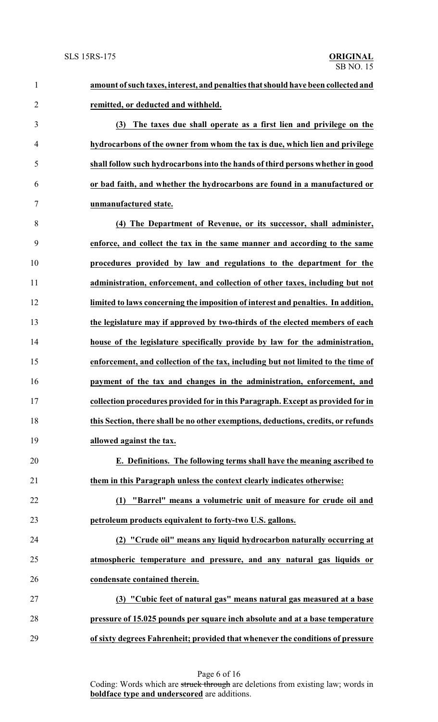**amount ofsuch taxes, interest, and penalties thatshould have been collected and remitted, or deducted and withheld. (3) The taxes due shall operate as a first lien and privilege on the hydrocarbons of the owner from whom the tax is due, which lien and privilege shall follow such hydrocarbons into the hands of third persons whether in good or bad faith, and whether the hydrocarbons are found in a manufactured or unmanufactured state. (4) The Department of Revenue, or its successor, shall administer, enforce, and collect the tax in the same manner and according to the same procedures provided by law and regulations to the department for the administration, enforcement, and collection of other taxes, including but not limited to laws concerning the imposition of interest and penalties. In addition, the legislature may if approved by two-thirds of the elected members of each house of the legislature specifically provide by law for the administration, enforcement, and collection of the tax, including but not limited to the time of payment of the tax and changes in the administration, enforcement, and collection procedures provided for in this Paragraph. Except as provided for in this Section, there shall be no other exemptions, deductions, credits, or refunds allowed against the tax. E. Definitions. The following terms shall have the meaning ascribed to them in this Paragraph unless the context clearly indicates otherwise: (1) "Barrel" means a volumetric unit of measure for crude oil and petroleum products equivalent to forty-two U.S. gallons. (2) "Crude oil" means any liquid hydrocarbon naturally occurring at atmospheric temperature and pressure, and any natural gas liquids or condensate contained therein. (3) "Cubic feet of natural gas" means natural gas measured at a base pressure of 15.025 pounds per square inch absolute and at a base temperature of sixty degrees Fahrenheit; provided that whenever the conditions of pressure**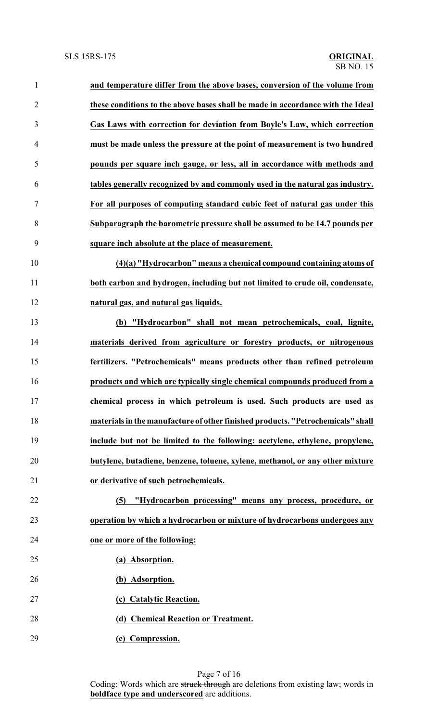| $\mathbf{1}$   | and temperature differ from the above bases, conversion of the volume from      |
|----------------|---------------------------------------------------------------------------------|
| $\overline{2}$ | these conditions to the above bases shall be made in accordance with the Ideal  |
| 3              | Gas Laws with correction for deviation from Boyle's Law, which correction       |
| $\overline{4}$ | must be made unless the pressure at the point of measurement is two hundred     |
| 5              | pounds per square inch gauge, or less, all in accordance with methods and       |
| 6              | tables generally recognized by and commonly used in the natural gas industry.   |
| 7              | For all purposes of computing standard cubic feet of natural gas under this     |
| 8              | Subparagraph the barometric pressure shall be assumed to be 14.7 pounds per     |
| 9              | square inch absolute at the place of measurement.                               |
| 10             | $(4)(a)$ "Hydrocarbon" means a chemical compound containing atoms of            |
| 11             | both carbon and hydrogen, including but not limited to crude oil, condensate,   |
| 12             | natural gas, and natural gas liquids.                                           |
| 13             | (b) "Hydrocarbon" shall not mean petrochemicals, coal, lignite,                 |
| 14             | materials derived from agriculture or forestry products, or nitrogenous         |
| 15             | fertilizers. "Petrochemicals" means products other than refined petroleum       |
| 16             | products and which are typically single chemical compounds produced from a      |
| 17             | chemical process in which petroleum is used. Such products are used as          |
| 18             | materials in the manufacture of other finished products. "Petrochemicals" shall |
| 19             | include but not be limited to the following: acetylene, ethylene, propylene,    |
| 20             | butylene, butadiene, benzene, toluene, xylene, methanol, or any other mixture   |
| 21             | or derivative of such petrochemicals.                                           |
| 22             | (5) "Hydrocarbon processing" means any process, procedure, or                   |
| 23             | operation by which a hydrocarbon or mixture of hydrocarbons undergoes any       |
| 24             | one or more of the following:                                                   |
| 25             | (a) Absorption.                                                                 |
| 26             | (b) Adsorption.                                                                 |
| 27             | (c) Catalytic Reaction.                                                         |
| 28             | (d) Chemical Reaction or Treatment.                                             |
| 29             | (e) Compression.                                                                |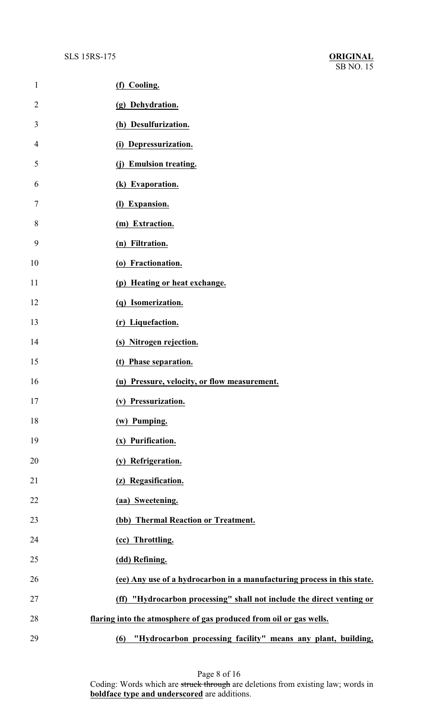| $\mathbf{1}$   | (f) Cooling.                                                            |
|----------------|-------------------------------------------------------------------------|
| $\overline{2}$ | (g) Dehydration.                                                        |
| 3              | (h) Desulfurization.                                                    |
| 4              | (i) Depressurization.                                                   |
| 5              | (j) Emulsion treating.                                                  |
| 6              | (k) Evaporation.                                                        |
| 7              | (l) Expansion.                                                          |
| 8              | (m) Extraction.                                                         |
| 9              | (n) Filtration.                                                         |
| 10             | (o) Fractionation.                                                      |
| 11             | (p) Heating or heat exchange.                                           |
| 12             | (q) Isomerization.                                                      |
| 13             | (r) Liquefaction.                                                       |
| 14             | (s) Nitrogen rejection.                                                 |
| 15             | (t) Phase separation.                                                   |
| 16             | (u) Pressure, velocity, or flow measurement.                            |
| 17             | (v) Pressurization.                                                     |
| 18             | (w) Pumping.                                                            |
| 19             | (x) Purification.                                                       |
| 20             | (y) Refrigeration.                                                      |
| 21             | (z) Regasification.                                                     |
| 22             | (aa) Sweetening.                                                        |
| 23             | (bb) Thermal Reaction or Treatment.                                     |
| 24             | (cc) Throttling.                                                        |
| 25             | (dd) Refining.                                                          |
| 26             | (ee) Any use of a hydrocarbon in a manufacturing process in this state. |
| 27             | (ff) "Hydrocarbon processing" shall not include the direct venting or   |
| 28             | flaring into the atmosphere of gas produced from oil or gas wells.      |
| 29             | "Hydrocarbon processing facility" means any plant, building,<br>(6)     |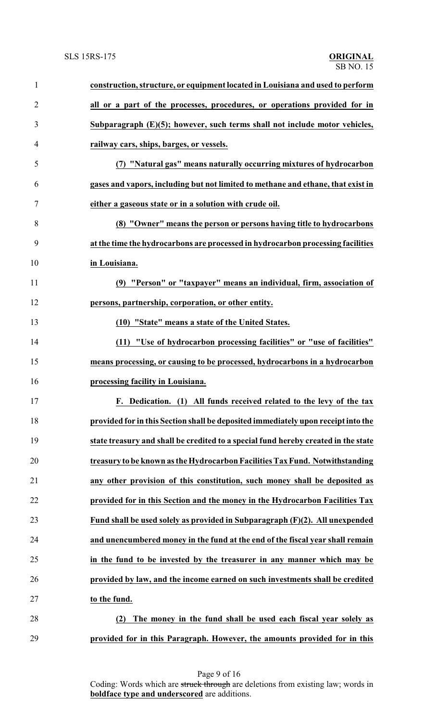| $\mathbf{1}$   | construction, structure, or equipment located in Louisiana and used to perform     |
|----------------|------------------------------------------------------------------------------------|
| $\overline{2}$ | all or a part of the processes, procedures, or operations provided for in          |
| 3              | Subparagraph $(E)(5)$ ; however, such terms shall not include motor vehicles,      |
| 4              | railway cars, ships, barges, or vessels.                                           |
| 5              | (7) "Natural gas" means naturally occurring mixtures of hydrocarbon                |
| 6              | gases and vapors, including but not limited to methane and ethane, that exist in   |
| 7              | either a gaseous state or in a solution with crude oil.                            |
| 8              | (8) "Owner" means the person or persons having title to hydrocarbons               |
| 9              | at the time the hydrocarbons are processed in hydrocarbon processing facilities    |
| 10             | in Louisiana.                                                                      |
| 11             | (9) "Person" or "taxpayer" means an individual, firm, association of               |
| 12             | persons, partnership, corporation, or other entity.                                |
| 13             | (10) "State" means a state of the United States.                                   |
| 14             | (11) "Use of hydrocarbon processing facilities" or "use of facilities"             |
| 15             | means processing, or causing to be processed, hydrocarbons in a hydrocarbon        |
| 16             | processing facility in Louisiana.                                                  |
| 17             | F. Dedication. (1) All funds received related to the levy of the tax               |
| 18             | provided for in this Section shall be deposited immediately upon receipt into the  |
| 19             | state treasury and shall be credited to a special fund hereby created in the state |
| 20             | treasury to be known as the Hydrocarbon Facilities Tax Fund. Notwithstanding       |
| 21             | any other provision of this constitution, such money shall be deposited as         |
| 22             | provided for in this Section and the money in the Hydrocarbon Facilities Tax       |
| 23             | Fund shall be used solely as provided in Subparagraph (F)(2). All unexpended       |
| 24             | and unencumbered money in the fund at the end of the fiscal year shall remain      |
| 25             | in the fund to be invested by the treasurer in any manner which may be             |
| 26             | provided by law, and the income earned on such investments shall be credited       |
| 27             | to the fund.                                                                       |
| 28             | The money in the fund shall be used each fiscal year solely as<br>(2)              |
| 29             | provided for in this Paragraph. However, the amounts provided for in this          |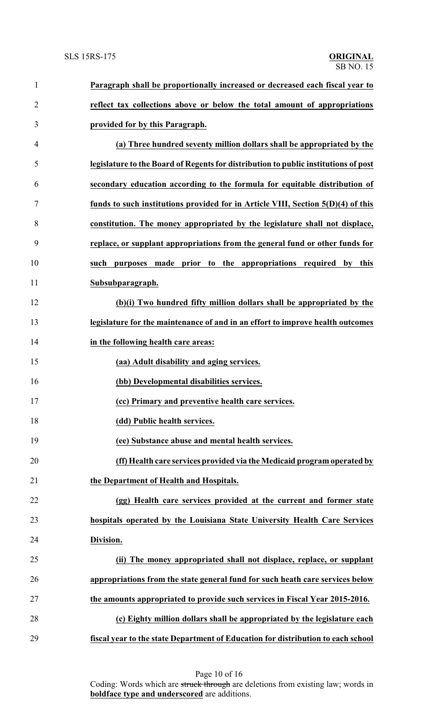| $\mathbf{1}$   | Paragraph shall be proportionally increased or decreased each fiscal year to        |
|----------------|-------------------------------------------------------------------------------------|
| $\overline{2}$ | reflect tax collections above or below the total amount of appropriations           |
| 3              | provided for by this Paragraph.                                                     |
| 4              | (a) Three hundred seventy million dollars shall be appropriated by the              |
| 5              | legislature to the Board of Regents for distribution to public institutions of post |
| 6              | secondary education according to the formula for equitable distribution of          |
| $\tau$         | funds to such institutions provided for in Article VIII, Section 5(D)(4) of this    |
| 8              | constitution. The money appropriated by the legislature shall not displace,         |
| 9              | replace, or supplant appropriations from the general fund or other funds for        |
| 10             | purposes made prior to the appropriations required by this<br>such                  |
| 11             | Subsubparagraph.                                                                    |
| 12             | (b)(i) Two hundred fifty million dollars shall be appropriated by the               |
| 13             | legislature for the maintenance of and in an effort to improve health outcomes      |
| 14             | in the following health care areas:                                                 |
| 15             | (aa) Adult disability and aging services.                                           |
| 16             | (bb) Developmental disabilities services.                                           |
| 17             | (cc) Primary and preventive health care services.                                   |
| 18             | (dd) Public health services.                                                        |
| 19             | (ee) Substance abuse and mental health services.                                    |
| 20             | (ff) Health care services provided via the Medicaid program operated by             |
| 21             | the Department of Health and Hospitals.                                             |
| 22             | (gg) Health care services provided at the current and former state                  |
| 23             | hospitals operated by the Louisiana State University Health Care Services           |
| 24             | Division.                                                                           |
| 25             | (ii) The money appropriated shall not displace, replace, or supplant                |
| 26             | appropriations from the state general fund for such heath care services below       |
| 27             | the amounts appropriated to provide such services in Fiscal Year 2015-2016.         |
| 28             | (c) Eighty million dollars shall be appropriated by the legislature each            |
| 29             | fiscal year to the state Department of Education for distribution to each school    |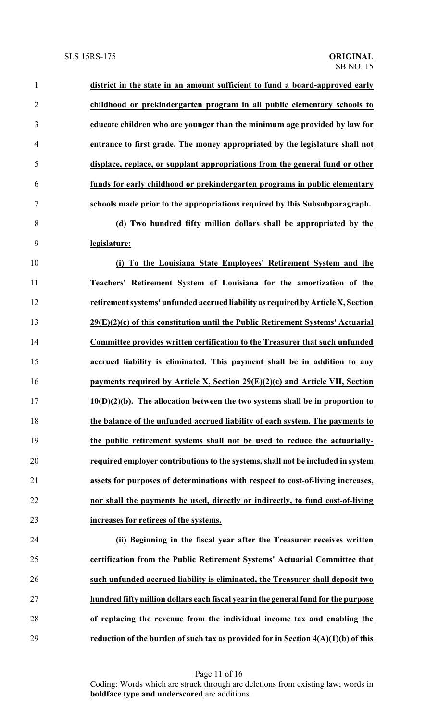| $\mathbf{1}$   | district in the state in an amount sufficient to fund a board-approved early        |
|----------------|-------------------------------------------------------------------------------------|
| $\overline{2}$ | childhood or prekindergarten program in all public elementary schools to            |
| 3              | educate children who are younger than the minimum age provided by law for           |
| 4              | entrance to first grade. The money appropriated by the legislature shall not        |
| 5              | displace, replace, or supplant appropriations from the general fund or other        |
| 6              | funds for early childhood or prekindergarten programs in public elementary          |
| 7              | schools made prior to the appropriations required by this Subsubparagraph.          |
| 8              | (d) Two hundred fifty million dollars shall be appropriated by the                  |
| 9              | legislature:                                                                        |
| 10             | (i) To the Louisiana State Employees' Retirement System and the                     |
| 11             | Teachers' Retirement System of Louisiana for the amortization of the                |
| 12             | retirement systems' unfunded accrued liability as required by Article X, Section    |
| 13             | $29(E)(2)(c)$ of this constitution until the Public Retirement Systems' Actuarial   |
| 14             | Committee provides written certification to the Treasurer that such unfunded        |
| 15             | accrued liability is eliminated. This payment shall be in addition to any           |
| 16             | payments required by Article X, Section $29(E)(2)(c)$ and Article VII, Section      |
| 17             | $10(D)(2)(b)$ . The allocation between the two systems shall be in proportion to    |
| 18             | the balance of the unfunded accrued liability of each system. The payments to       |
| 19             | the public retirement systems shall not be used to reduce the actuarially-          |
| 20             | required employer contributions to the systems, shall not be included in system     |
| 21             | assets for purposes of determinations with respect to cost-of-living increases,     |
| 22             | nor shall the payments be used, directly or indirectly, to fund cost-of-living      |
| 23             | increases for retirees of the systems.                                              |
| 24             | (ii) Beginning in the fiscal year after the Treasurer receives written              |
| 25             | certification from the Public Retirement Systems' Actuarial Committee that          |
| 26             | such unfunded accrued liability is eliminated, the Treasurer shall deposit two      |
| 27             | hundred fifty million dollars each fiscal year in the general fund for the purpose  |
| 28             | of replacing the revenue from the individual income tax and enabling the            |
| 29             | reduction of the burden of such tax as provided for in Section $4(A)(1)(b)$ of this |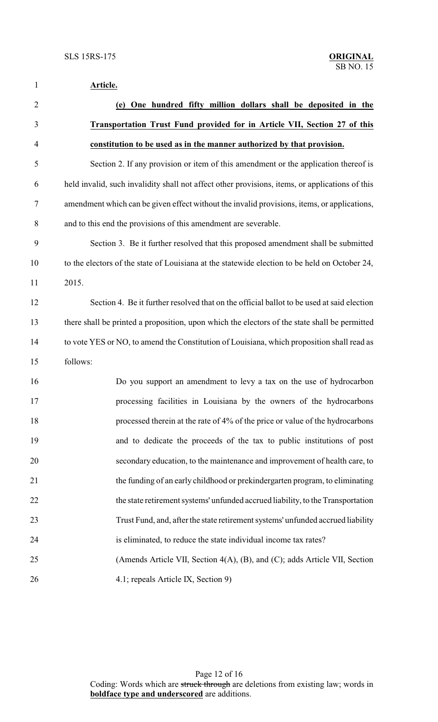**Article.**

| $\overline{2}$ | (e) One hundred fifty million dollars shall be deposited in the                                 |
|----------------|-------------------------------------------------------------------------------------------------|
| 3              | <b>Transportation Trust Fund provided for in Article VII, Section 27 of this</b>                |
| $\overline{4}$ | constitution to be used as in the manner authorized by that provision.                          |
| 5              | Section 2. If any provision or item of this amendment or the application thereof is             |
| 6              | held invalid, such invalidity shall not affect other provisions, items, or applications of this |
| 7              | amendment which can be given effect without the invalid provisions, items, or applications,     |
| $8\,$          | and to this end the provisions of this amendment are severable.                                 |
| 9              | Section 3. Be it further resolved that this proposed amendment shall be submitted               |
| 10             | to the electors of the state of Louisiana at the statewide election to be held on October 24,   |
| 11             | 2015.                                                                                           |
| 12             | Section 4. Be it further resolved that on the official ballot to be used at said election       |
| 13             | there shall be printed a proposition, upon which the electors of the state shall be permitted   |
| 14             | to vote YES or NO, to amend the Constitution of Louisiana, which proposition shall read as      |
| 15             | follows:                                                                                        |
| 16             | Do you support an amendment to levy a tax on the use of hydrocarbon                             |
| 17             | processing facilities in Louisiana by the owners of the hydrocarbons                            |
| 18             | processed therein at the rate of 4% of the price or value of the hydrocarbons                   |
| 19             | and to dedicate the proceeds of the tax to public institutions of post                          |
| 20             | secondary education, to the maintenance and improvement of health care, to                      |
| 21             | the funding of an early childhood or prekindergarten program, to eliminating                    |
| 22             | the state retirement systems' unfunded accrued liability, to the Transportation                 |
| 23             | Trust Fund, and, after the state retirement systems' unfunded accrued liability                 |
| 24             | is eliminated, to reduce the state individual income tax rates?                                 |
| 25             | (Amends Article VII, Section 4(A), (B), and (C); adds Article VII, Section                      |
| 26             | 4.1; repeals Article IX, Section 9)                                                             |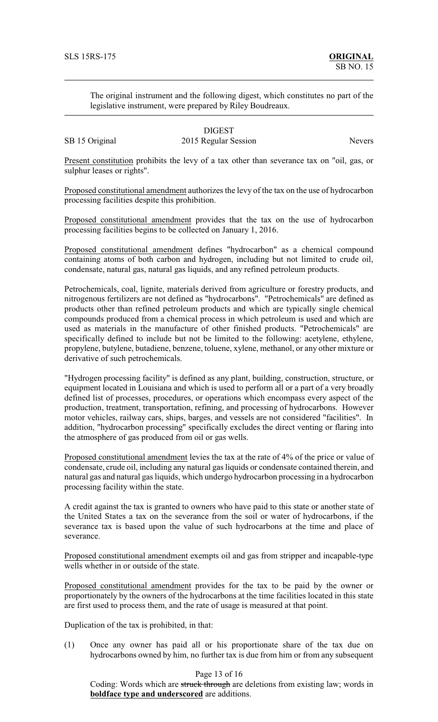The original instrument and the following digest, which constitutes no part of the legislative instrument, were prepared by Riley Boudreaux.

## DIGEST SB 15 Original 2015 Regular Session Nevers

Present constitution prohibits the levy of a tax other than severance tax on "oil, gas, or sulphur leases or rights".

Proposed constitutional amendment authorizes the levy of the tax on the use of hydrocarbon processing facilities despite this prohibition.

Proposed constitutional amendment provides that the tax on the use of hydrocarbon processing facilities begins to be collected on January 1, 2016.

Proposed constitutional amendment defines "hydrocarbon" as a chemical compound containing atoms of both carbon and hydrogen, including but not limited to crude oil, condensate, natural gas, natural gas liquids, and any refined petroleum products.

Petrochemicals, coal, lignite, materials derived from agriculture or forestry products, and nitrogenous fertilizers are not defined as "hydrocarbons". "Petrochemicals" are defined as products other than refined petroleum products and which are typically single chemical compounds produced from a chemical process in which petroleum is used and which are used as materials in the manufacture of other finished products. "Petrochemicals" are specifically defined to include but not be limited to the following: acetylene, ethylene, propylene, butylene, butadiene, benzene, toluene, xylene, methanol, or any other mixture or derivative of such petrochemicals.

"Hydrogen processing facility" is defined as any plant, building, construction, structure, or equipment located in Louisiana and which is used to perform all or a part of a very broadly defined list of processes, procedures, or operations which encompass every aspect of the production, treatment, transportation, refining, and processing of hydrocarbons. However motor vehicles, railway cars, ships, barges, and vessels are not considered "facilities". In addition, "hydrocarbon processing" specifically excludes the direct venting or flaring into the atmosphere of gas produced from oil or gas wells.

Proposed constitutional amendment levies the tax at the rate of 4% of the price or value of condensate, crude oil, including any natural gas liquids or condensate contained therein, and natural gas and natural gas liquids, which undergo hydrocarbon processing in a hydrocarbon processing facility within the state.

A credit against the tax is granted to owners who have paid to this state or another state of the United States a tax on the severance from the soil or water of hydrocarbons, if the severance tax is based upon the value of such hydrocarbons at the time and place of severance.

Proposed constitutional amendment exempts oil and gas from stripper and incapable-type wells whether in or outside of the state.

Proposed constitutional amendment provides for the tax to be paid by the owner or proportionately by the owners of the hydrocarbons at the time facilities located in this state are first used to process them, and the rate of usage is measured at that point.

Duplication of the tax is prohibited, in that:

(1) Once any owner has paid all or his proportionate share of the tax due on hydrocarbons owned by him, no further tax is due from him or from any subsequent

Page 13 of 16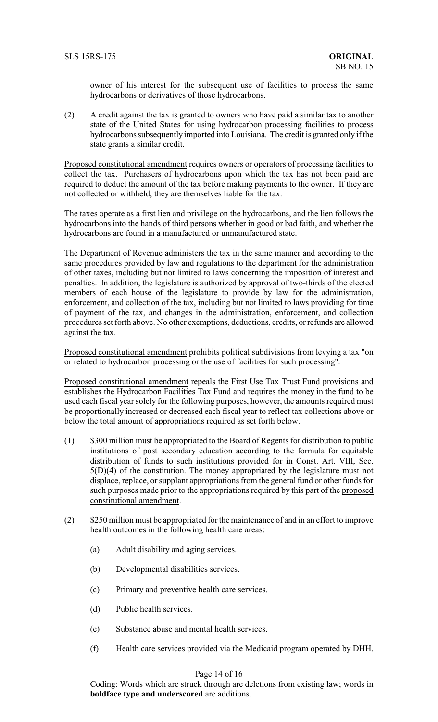owner of his interest for the subsequent use of facilities to process the same hydrocarbons or derivatives of those hydrocarbons.

(2) A credit against the tax is granted to owners who have paid a similar tax to another state of the United States for using hydrocarbon processing facilities to process hydrocarbons subsequently imported into Louisiana. The credit is granted only if the state grants a similar credit.

Proposed constitutional amendment requires owners or operators of processing facilities to collect the tax. Purchasers of hydrocarbons upon which the tax has not been paid are required to deduct the amount of the tax before making payments to the owner. If they are not collected or withheld, they are themselves liable for the tax.

The taxes operate as a first lien and privilege on the hydrocarbons, and the lien follows the hydrocarbons into the hands of third persons whether in good or bad faith, and whether the hydrocarbons are found in a manufactured or unmanufactured state.

The Department of Revenue administers the tax in the same manner and according to the same procedures provided by law and regulations to the department for the administration of other taxes, including but not limited to laws concerning the imposition of interest and penalties. In addition, the legislature is authorized by approval of two-thirds of the elected members of each house of the legislature to provide by law for the administration, enforcement, and collection of the tax, including but not limited to laws providing for time of payment of the tax, and changes in the administration, enforcement, and collection procedures set forth above. No other exemptions, deductions, credits, orrefunds are allowed against the tax.

Proposed constitutional amendment prohibits political subdivisions from levying a tax "on or related to hydrocarbon processing or the use of facilities for such processing".

Proposed constitutional amendment repeals the First Use Tax Trust Fund provisions and establishes the Hydrocarbon Facilities Tax Fund and requires the money in the fund to be used each fiscal year solely for the following purposes, however, the amounts required must be proportionally increased or decreased each fiscal year to reflect tax collections above or below the total amount of appropriations required as set forth below.

- (1) \$300 million must be appropriated to the Board of Regents for distribution to public institutions of post secondary education according to the formula for equitable distribution of funds to such institutions provided for in Const. Art. VIII, Sec. 5(D)(4) of the constitution. The money appropriated by the legislature must not displace, replace, or supplant appropriations from the general fund or other funds for such purposes made prior to the appropriations required by this part of the proposed constitutional amendment.
- (2) \$250 million must be appropriated for the maintenance of and in an effort to improve health outcomes in the following health care areas:
	- (a) Adult disability and aging services.
	- (b) Developmental disabilities services.
	- (c) Primary and preventive health care services.
	- (d) Public health services.
	- (e) Substance abuse and mental health services.
	- (f) Health care services provided via the Medicaid program operated by DHH.

## Page 14 of 16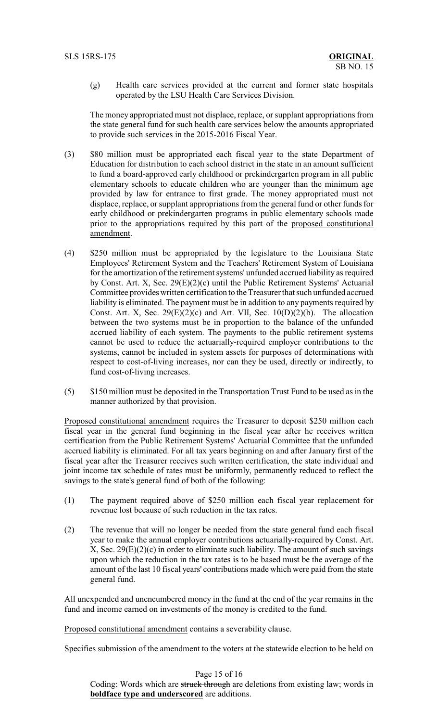(g) Health care services provided at the current and former state hospitals operated by the LSU Health Care Services Division.

The money appropriated must not displace, replace, or supplant appropriations from the state general fund for such health care services below the amounts appropriated to provide such services in the 2015-2016 Fiscal Year.

- (3) \$80 million must be appropriated each fiscal year to the state Department of Education for distribution to each school district in the state in an amount sufficient to fund a board-approved early childhood or prekindergarten program in all public elementary schools to educate children who are younger than the minimum age provided by law for entrance to first grade. The money appropriated must not displace, replace, or supplant appropriations from the general fund or other funds for early childhood or prekindergarten programs in public elementary schools made prior to the appropriations required by this part of the proposed constitutional amendment.
- (4) \$250 million must be appropriated by the legislature to the Louisiana State Employees' Retirement System and the Teachers' Retirement System of Louisiana for the amortization of the retirement systems' unfunded accrued liability as required by Const. Art. X, Sec. 29(E)(2)(c) until the Public Retirement Systems' Actuarial Committee provides written certification to the Treasurer that such unfunded accrued liability is eliminated. The payment must be in addition to any payments required by Const. Art. X, Sec.  $29(E)(2)(c)$  and Art. VII, Sec.  $10(D)(2)(b)$ . The allocation between the two systems must be in proportion to the balance of the unfunded accrued liability of each system. The payments to the public retirement systems cannot be used to reduce the actuarially-required employer contributions to the systems, cannot be included in system assets for purposes of determinations with respect to cost-of-living increases, nor can they be used, directly or indirectly, to fund cost-of-living increases.
- (5) \$150 million must be deposited in the Transportation Trust Fund to be used as in the manner authorized by that provision.

Proposed constitutional amendment requires the Treasurer to deposit \$250 million each fiscal year in the general fund beginning in the fiscal year after he receives written certification from the Public Retirement Systems' Actuarial Committee that the unfunded accrued liability is eliminated. For all tax years beginning on and after January first of the fiscal year after the Treasurer receives such written certification, the state individual and joint income tax schedule of rates must be uniformly, permanently reduced to reflect the savings to the state's general fund of both of the following:

- (1) The payment required above of \$250 million each fiscal year replacement for revenue lost because of such reduction in the tax rates.
- (2) The revenue that will no longer be needed from the state general fund each fiscal year to make the annual employer contributions actuarially-required by Const. Art.  $X$ , Sec. 29 $(E)(2)(c)$  in order to eliminate such liability. The amount of such savings upon which the reduction in the tax rates is to be based must be the average of the amount of the last 10 fiscal years' contributions made which were paid from the state general fund.

All unexpended and unencumbered money in the fund at the end of the year remains in the fund and income earned on investments of the money is credited to the fund.

Proposed constitutional amendment contains a severability clause.

Specifies submission of the amendment to the voters at the statewide election to be held on